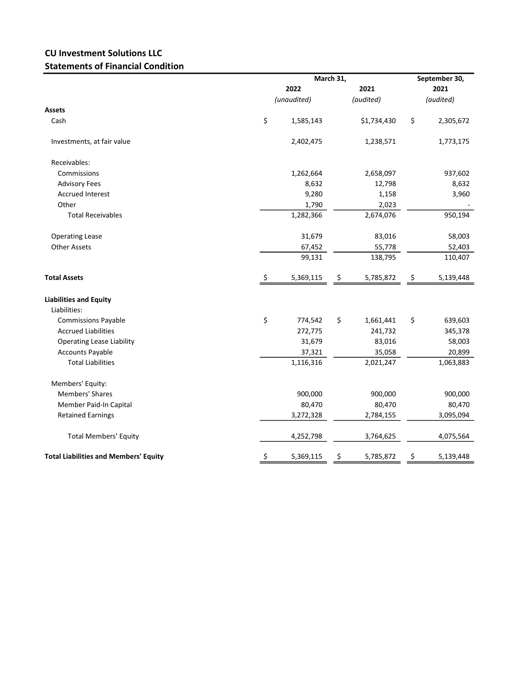## CU Investment Solutions LLC Statements of Financial Condition

|                                              |      | March 31,   |    |             |    | September 30, |  |  |
|----------------------------------------------|------|-------------|----|-------------|----|---------------|--|--|
|                                              | 2022 |             |    | 2021        |    | 2021          |  |  |
|                                              |      | (unaudited) |    | (audited)   |    | (audited)     |  |  |
| <b>Assets</b>                                |      |             |    |             |    |               |  |  |
| Cash                                         | \$   | 1,585,143   |    | \$1,734,430 | \$ | 2,305,672     |  |  |
| Investments, at fair value                   |      | 2,402,475   |    | 1,238,571   |    | 1,773,175     |  |  |
| Receivables:                                 |      |             |    |             |    |               |  |  |
| Commissions                                  |      | 1,262,664   |    | 2,658,097   |    | 937,602       |  |  |
| <b>Advisory Fees</b>                         |      | 8,632       |    | 12,798      |    | 8,632         |  |  |
| <b>Accrued Interest</b>                      |      | 9,280       |    | 1,158       |    | 3,960         |  |  |
| Other                                        |      | 1,790       |    | 2,023       |    |               |  |  |
| <b>Total Receivables</b>                     |      | 1,282,366   |    | 2,674,076   |    | 950,194       |  |  |
| <b>Operating Lease</b>                       |      | 31,679      |    | 83,016      |    | 58,003        |  |  |
| <b>Other Assets</b>                          |      | 67,452      |    | 55,778      |    | 52,403        |  |  |
|                                              |      | 99,131      |    | 138,795     |    | 110,407       |  |  |
| <b>Total Assets</b>                          | \$.  | 5,369,115   | Ş  | 5,785,872   | Ş  | 5,139,448     |  |  |
| <b>Liabilities and Equity</b>                |      |             |    |             |    |               |  |  |
| Liabilities:                                 |      |             |    |             |    |               |  |  |
| <b>Commissions Payable</b>                   | \$   | 774,542     | \$ | 1,661,441   | \$ | 639,603       |  |  |
| <b>Accrued Liabilities</b>                   |      | 272,775     |    | 241,732     |    | 345,378       |  |  |
| <b>Operating Lease Liability</b>             |      | 31,679      |    | 83,016      |    | 58,003        |  |  |
| <b>Accounts Payable</b>                      |      | 37,321      |    | 35,058      |    | 20,899        |  |  |
| <b>Total Liabilities</b>                     |      | 1,116,316   |    | 2,021,247   |    | 1,063,883     |  |  |
| Members' Equity:                             |      |             |    |             |    |               |  |  |
| Members' Shares                              |      | 900,000     |    | 900,000     |    | 900,000       |  |  |
| Member Paid-In Capital                       |      | 80,470      |    | 80,470      |    | 80,470        |  |  |
| <b>Retained Earnings</b>                     |      | 3,272,328   |    | 2,784,155   |    | 3,095,094     |  |  |
| <b>Total Members' Equity</b>                 |      | 4,252,798   |    | 3,764,625   |    | 4,075,564     |  |  |
| <b>Total Liabilities and Members' Equity</b> | \$   | 5,369,115   | \$ | 5,785,872   | \$ | 5,139,448     |  |  |